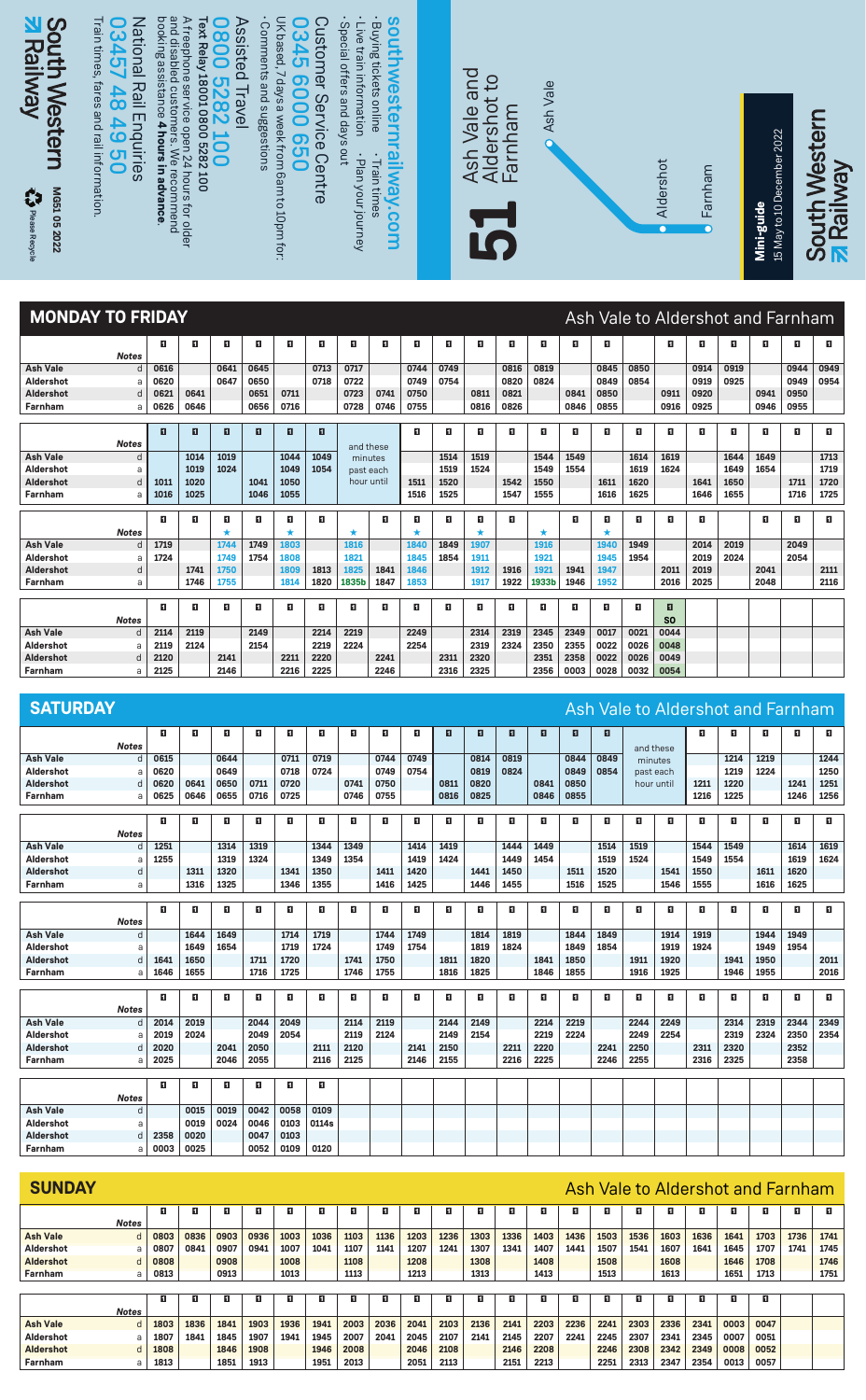

| Farnham          | a            | 1016 | 1025 |      | 1046 | 1055 |      |       |      | 1516 | 1525 |      | 1547 | 1555  |      | 1616 | 1625 |                | 1646 | 1655 |      | 1716 | 1725 |
|------------------|--------------|------|------|------|------|------|------|-------|------|------|------|------|------|-------|------|------|------|----------------|------|------|------|------|------|
|                  |              | п    | O    | п    | п    | П    | п    |       | п    | п    | п    | п    | п    |       | п    |      | п    | п              | п    |      | п    | п    | п    |
|                  | <b>Notes</b> |      |      |      |      |      |      | *     |      |      |      |      |      | *     |      |      |      |                |      |      |      |      |      |
| <b>Ash Vale</b>  | d.           | 1719 |      | 1744 | 1749 | 1803 |      | 1816  |      | 1840 | 1849 | 1907 |      | 1916  |      | 1940 | 1949 |                | 2014 | 2019 |      | 2049 |      |
| Aldershot        | a            | 1724 |      | 1749 | 1754 | 1808 |      | 1821  |      | 1845 | 1854 | 1911 |      | 1921  |      | 1945 | 1954 |                | 2019 | 2024 |      | 2054 |      |
| <b>Aldershot</b> | d            |      | 1741 | 1750 |      | 1809 | 1813 | 1825  | 1841 | 1846 |      | 1912 | 1916 | 1921  | 1941 | 1947 |      | 2011           | 2019 |      | 2041 |      | 2111 |
| Farnham          | a            |      | 1746 | 1755 |      | 1814 | 1820 | 1835b | 1847 | 1853 |      | 1917 | 1922 | 1933b | 1946 | 1952 |      | 2016           | 2025 |      | 2048 |      | 2116 |
|                  |              |      |      |      |      |      |      |       |      |      |      |      |      |       |      |      |      |                |      |      |      |      |      |
|                  |              | п    | п    | п    | п    | п    | п    |       | п    | п    | п    | 0    | п    | п     | п    | 0    | п    |                |      |      |      |      |      |
|                  | <b>Notes</b> |      |      |      |      |      |      |       |      |      |      |      |      |       |      |      |      | S <sub>0</sub> |      |      |      |      |      |
| <b>Ash Vale</b>  | d            | 2114 | 2119 |      | 2149 |      | 2214 | 2219  |      | 2249 |      | 2314 | 2319 | 2345  | 2349 | 0017 | 0021 | 0044           |      |      |      |      |      |
| Aldershot        | a            | 2119 | 2124 |      | 2154 |      | 2219 | 2224  |      | 2254 |      | 2319 | 2324 | 2350  | 2355 | 0022 | 0026 | 0048           |      |      |      |      |      |
| <b>Aldershot</b> | d            | 2120 |      | 2141 |      | 2211 | 2220 |       | 2241 |      | 2311 | 2320 |      | 2351  | 2358 | 0022 | 0026 | 0049           |      |      |      |      |      |
| Farnham          | a            | 2125 |      | 2146 |      | 2216 | 2225 |       | 2246 |      | 2316 | 2325 |      | 2356  | 0003 | 0028 | 0032 | 0054           |      |      |      |      |      |

| <b>SATURDAY</b>                   |      |      |      |      |      |       |      |      |      |      |      |              |      |      |      |            |           |      |      |      | Ash Vale to Aldershot and Farnham |      |
|-----------------------------------|------|------|------|------|------|-------|------|------|------|------|------|--------------|------|------|------|------------|-----------|------|------|------|-----------------------------------|------|
|                                   | п    | п    | п    | п    | п    | п     | п    | п    | п    | п    | п    | $\mathbf{H}$ | п    | п    | E.   |            |           | E.   | E.   | п    | п                                 | п    |
| <b>Notes</b>                      |      |      |      |      |      |       |      |      |      |      |      |              |      |      |      |            | and these |      |      |      |                                   |      |
| <b>Ash Vale</b><br>d              | 0615 |      | 0644 |      | 0711 | 0719  |      | 0744 | 0749 |      | 0814 | 0819         |      | 0844 | 0849 |            | minutes   |      | 1214 | 1219 |                                   | 1244 |
| Aldershot<br>a                    | 0620 |      | 0649 |      | 0718 | 0724  |      | 0749 | 0754 |      | 0819 | 0824         |      | 0849 | 0854 |            | past each |      | 1219 | 1224 |                                   | 1250 |
| Aldershot<br>d                    | 0620 | 0641 | 0650 | 0711 | 0720 |       | 0741 | 0750 |      | 0811 | 0820 |              | 0841 | 0850 |      | hour until |           | 1211 | 1220 |      | 1241                              | 1251 |
| Farnham<br>a                      | 0625 | 0646 | 0655 | 0716 | 0725 |       | 0746 | 0755 |      | 0816 | 0825 |              | 0846 | 0855 |      |            |           | 1216 | 1225 |      | 1246                              | 1256 |
|                                   |      |      |      |      |      |       |      |      |      |      |      |              |      |      |      |            |           |      |      |      |                                   |      |
|                                   | п    | п    | п    | п    | п    | п     | п    | п    | п    | п    | E.   | п            | Ð    | п    | п    | п          | п         | O    | п    | п    | п                                 | п    |
| <b>Notes</b>                      |      |      |      |      |      |       |      |      |      |      |      |              |      |      |      |            |           |      |      |      |                                   |      |
| <b>Ash Vale</b><br>$\overline{d}$ | 1251 |      | 1314 | 1319 |      | 1344  | 1349 |      | 1414 | 1419 |      | 1444         | 1449 |      | 1514 | 1519       |           | 1544 | 1549 |      | 1614                              | 1619 |
| Aldershot<br>a                    | 1255 |      | 1319 | 1324 |      | 1349  | 1354 |      | 1419 | 1424 |      | 1449         | 1454 |      | 1519 | 1524       |           | 1549 | 1554 |      | 1619                              | 1624 |
| Aldershot<br>d                    |      | 1311 | 1320 |      | 1341 | 1350  |      | 1411 | 1420 |      | 1441 | 1450         |      | 1511 | 1520 |            | 1541      | 1550 |      | 1611 | 1620                              |      |
| Farnham<br>a                      |      | 1316 | 1325 |      | 1346 | 1355  |      | 1416 | 1425 |      | 1446 | 1455         |      | 1516 | 1525 |            | 1546      | 1555 |      | 1616 | 1625                              |      |
|                                   |      |      |      |      |      |       |      |      |      |      |      |              |      |      |      |            |           |      |      |      |                                   |      |
|                                   | п    | п    | п    | п    | п    | п     | п    | п    | п    | п    | E.   | п            | Ð    | п    | п    | п          | п         | п    | п    | п    | п                                 | п    |
| <b>Notes</b><br><b>Ash Vale</b>   |      | 1644 | 1649 |      | 1714 | 1719  |      | 1744 | 1749 |      | 1814 | 1819         |      | 1844 | 1849 |            | 1914      | 1919 |      | 1944 | 1949                              |      |
| d<br>Aldershot                    |      | 1649 | 1654 |      | 1719 | 1724  |      | 1749 | 1754 |      | 1819 | 1824         |      | 1849 | 1854 |            | 1919      | 1924 |      | 1949 | 1954                              |      |
| a<br>Aldershot<br>d               | 1641 | 1650 |      | 1711 | 1720 |       | 1741 | 1750 |      | 1811 | 1820 |              | 1841 | 1850 |      | 1911       | 1920      |      | 1941 | 1950 |                                   | 2011 |
| Farnham<br>a                      | 1646 | 1655 |      | 1716 | 1725 |       | 1746 | 1755 |      | 1816 | 1825 |              | 1846 | 1855 |      | 1916       | 1925      |      | 1946 | 1955 |                                   | 2016 |
|                                   |      |      |      |      |      |       |      |      |      |      |      |              |      |      |      |            |           |      |      |      |                                   |      |
|                                   | п    | п    | п    | п    | п    | п     | п    | п    | п    | п    | п    | п            | п    | п    | п    | п          | п         | п    | п    | п    | п                                 | п    |
| <b>Notes</b>                      |      |      |      |      |      |       |      |      |      |      |      |              |      |      |      |            |           |      |      |      |                                   |      |
| <b>Ash Vale</b><br>d              | 2014 | 2019 |      | 2044 | 2049 |       | 2114 | 2119 |      | 2144 | 2149 |              | 2214 | 2219 |      | 2244       | 2249      |      | 2314 | 2319 | 2344                              | 2349 |
| Aldershot<br>a                    | 2019 | 2024 |      | 2049 | 2054 |       | 2119 | 2124 |      | 2149 | 2154 |              | 2219 | 2224 |      | 2249       | 2254      |      | 2319 | 2324 | 2350                              | 2354 |
| Aldershot<br>d                    | 2020 |      | 2041 | 2050 |      | 2111  | 2120 |      | 2141 | 2150 |      | 2211         | 2220 |      | 2241 | 2250       |           | 2311 | 2320 |      | 2352                              |      |
| Farnham<br>a                      | 2025 |      | 2046 | 2055 |      | 2116  | 2125 |      | 2146 | 2155 |      | 2216         | 2225 |      | 2246 | 2255       |           | 2316 | 2325 |      | 2358                              |      |
|                                   |      |      |      |      |      |       |      |      |      |      |      |              |      |      |      |            |           |      |      |      |                                   |      |
|                                   | п    | п    | п    | п    | п    | п     |      |      |      |      |      |              |      |      |      |            |           |      |      |      |                                   |      |
| <b>Notes</b>                      |      |      |      |      |      |       |      |      |      |      |      |              |      |      |      |            |           |      |      |      |                                   |      |
| <b>Ash Vale</b><br>d              |      | 0015 | 0019 | 0042 | 0058 | 0109  |      |      |      |      |      |              |      |      |      |            |           |      |      |      |                                   |      |
| Aldershot<br>a                    |      | 0019 | 0024 | 0046 | 0103 | 0114s |      |      |      |      |      |              |      |      |      |            |           |      |      |      |                                   |      |
| Aldershot<br>d                    | 2358 | 0020 |      | 0047 | 0103 |       |      |      |      |      |      |              |      |      |      |            |           |      |      |      |                                   |      |
| Farnham<br>a                      | 0003 | 0025 |      | 0052 | 0109 | 0120  |      |      |      |      |      |              |      |      |      |            |           |      |      |      |                                   |      |

| <b>SUNDAY</b>    |              |      |      |      |      |      |      |      |      |      |      |      |      |      |      |      |      |      | Ash Vale to Aldershot and Farnham |      |      |      |      |
|------------------|--------------|------|------|------|------|------|------|------|------|------|------|------|------|------|------|------|------|------|-----------------------------------|------|------|------|------|
|                  |              | п    | п    | п    | O    | O    | O    | п    |      |      |      | O    | п    | п    | O    | O    | п    |      | п                                 |      | п    | п    | п    |
|                  | <b>Notes</b> |      |      |      |      |      |      |      |      |      |      |      |      |      |      |      |      |      |                                   |      |      |      |      |
| <b>Ash Vale</b>  | d            | 0803 | 0836 | 0903 | 0936 | 1003 | 1036 | 1103 | 1136 | 1203 | 1236 | 1303 | 1336 | 1403 | 1436 | 1503 | 1536 | 1603 | 1636                              | 1641 | 1703 | 1736 | 1741 |
| <b>Aldershot</b> | a            | 0807 | 0841 | 0907 | 0941 | 1007 | 1041 | 1107 | 1141 | 1207 | 1241 | 1307 | 1341 | 1407 | 1441 | 1507 | 1541 | 1607 | 1641                              | 1645 | 1707 | 1741 | 1745 |
| <b>Aldershot</b> | d            | 0808 |      | 0908 |      | 1008 |      | 1108 |      | 1208 |      | 1308 |      | 1408 |      | 1508 |      | 1608 |                                   | 1646 | 1708 |      | 1746 |
| <b>Farnham</b>   | a            | 0813 |      | 0913 |      | 1013 |      | 1113 |      | 1213 |      | 1313 |      | 1413 |      | 1513 |      | 1613 |                                   | 1651 | 1713 |      | 1751 |
|                  |              |      |      |      |      |      |      |      |      |      |      |      |      |      |      |      |      |      |                                   |      |      |      |      |
|                  |              | п    | п.   | Е    | п    | п    | п    | п    |      | n    | п    | п    | п    | П    | п    | п    | п    |      | п                                 | п    | п    |      |      |
|                  | <b>Notes</b> |      |      |      |      |      |      |      |      |      |      |      |      |      |      |      |      |      |                                   |      |      |      |      |
| <b>Ash Vale</b>  | d            | 1803 | 1836 | 1841 | 1903 | 1936 | 1941 | 2003 | 2036 | 2041 | 2103 | 2136 | 2141 | 2203 | 2236 | 2241 | 2303 | 2336 | 2341                              | 0003 | 0047 |      |      |
| Aldershot        | a            | 1807 | 1841 | 1845 | 1907 | 1941 | 1945 | 2007 | 2041 | 2045 | 2107 | 2141 | 2145 | 2207 | 2241 | 2245 | 2307 | 2341 | 2345                              | 0007 | 0051 |      |      |
| <b>Aldershot</b> | <sub>d</sub> | 1808 |      | 1846 | 1908 |      | 1946 | 2008 |      | 2046 | 2108 |      | 2146 | 2208 |      | 2246 | 2308 | 2342 | 2349                              | 0008 | 0052 |      |      |
| <b>Farnham</b>   | a            | 1813 |      | 1851 | 1913 |      | 1951 | 2013 |      | 2051 | 2113 |      | 2151 | 2213 |      | 2251 | 2313 | 2347 | 2354                              | 0013 | 0057 |      |      |